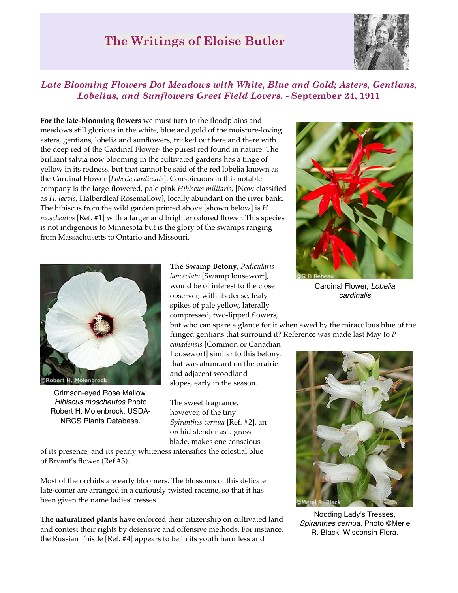## **The Writings of Eloise Butler**



## *Late Blooming Flowers Dot Meadows with White, Blue and Gold; Asters, Gentians, Lobelias, and Sunflowers Greet Field Lovers.* **- September 24, 1911**

**For the late-blooming flowers** we must turn to the floodplains and meadows still glorious in the white, blue and gold of the moisture-loving asters, gentians, lobelia and sunflowers, tricked out here and there with the deep red of the Cardinal Flower- the purest red found in nature. The brilliant salvia now blooming in the cultivated gardens has a tinge of yellow in its redness, but that cannot be said of the red lobelia known as the Cardinal Flower [*Lobelia cardinalis*]. Conspicuous in this notable company is the large-flowered, pale pink *Hibiscus militaris*, [Now classified as *H. laevis*, Halberdleaf Rosemallow], locally abundant on the river bank. The hibiscus from the wild garden printed above [shown below] is *H. moscheutos* [Ref. #1] with a larger and brighter colored flower. This species is not indigenous to Minnesota but is the glory of the swamps ranging from Massachusetts to Ontario and Missouri.



Crimson-eyed Rose Mallow, *Hibiscus moscheutos* Photo Robert H. Molenbrock, USDA-NRCS Plants Database.

**The Swamp Betony**, *Pedicularis lanceolata* [Swamp lousewort], would be of interest to the close observer, with its dense, leafy spikes of pale yellow, laterally compressed, two-lipped flowers,

but who can spare a glance for it when awed by the miraculous blue of the fringed gentians that surround it? Reference was made last May to *P.* 

*canadensis* [Common or Canadian Lousewort] similar to this betony, that was abundant on the prairie and adjacent woodland slopes, early in the season.

The sweet fragrance, however, of the tiny *Spiranthes cernua* [Ref. #2], an orchid slender as a grass blade, makes one conscious

of its presence, and its pearly whiteness intensifies the celestial blue of Bryant's flower (Ref #3).

Most of the orchids are early bloomers. The blossoms of this delicate late-comer are arranged in a curiously twisted raceme, so that it has been given the name ladies' tresses.

**The naturalized plants** have enforced their citizenship on cultivated land and contest their rights by defensive and offensive methods. For instance, the Russian Thistle [Ref. #4] appears to be in its youth harmless and



Cardinal Flower, *Lobelia cardinalis*



Nodding Lady's Tresses, *Spiranthes cernua*. Photo ©Merle R. Black, Wisconsin Flora.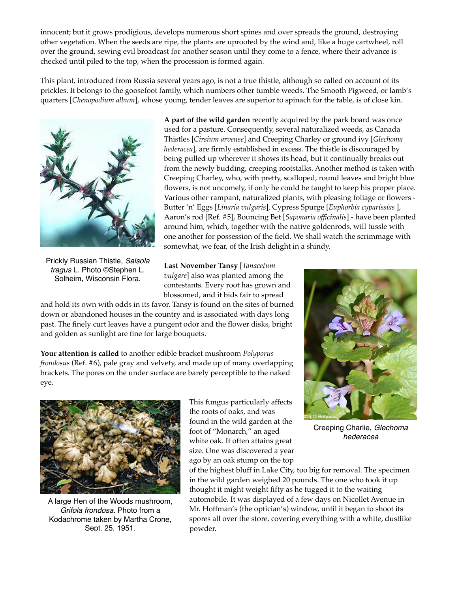innocent; but it grows prodigious, develops numerous short spines and over spreads the ground, destroying other vegetation. When the seeds are ripe, the plants are uprooted by the wind and, like a huge cartwheel, roll over the ground, sewing evil broadcast for another season until they come to a fence, where their advance is checked until piled to the top, when the procession is formed again.

This plant, introduced from Russia several years ago, is not a true thistle, although so called on account of its prickles. It belongs to the goosefoot family, which numbers other tumble weeds. The Smooth Pigweed, or lamb's quarters [*Chenopodium album*], whose young, tender leaves are superior to spinach for the table, is of close kin.



Prickly Russian Thistle, *Salsola tragus* L. Photo ©Stephen L. Solheim, Wisconsin Flora.

**A part of the wild garden** recently acquired by the park board was once used for a pasture. Consequently, several naturalized weeds, as Canada Thistles [*Cirsium arvense*] and Creeping Charley or ground ivy [*Glechoma hederacea*], are firmly established in excess. The thistle is discouraged by being pulled up wherever it shows its head, but it continually breaks out from the newly budding, creeping rootstalks. Another method is taken with Creeping Charley, who, with pretty, scalloped, round leaves and bright blue flowers, is not uncomely, if only he could be taught to keep his proper place. Various other rampant, naturalized plants, with pleasing foliage or flowers - Butter 'n' Eggs [*Linaria vulgaris*], Cypress Spurge [*Euphorbia cyparissias* ], Aaron's rod [Ref. #5], Bouncing Bet [*Saponaria officinalis*] - have been planted around him, which, together with the native goldenrods, will tussle with one another for possession of the field. We shall watch the scrimmage with somewhat, we fear, of the Irish delight in a shindy.

**Last November Tansy** [*Tanacetum vulgare*] also was planted among the contestants. Every root has grown and blossomed, and it bids fair to spread

and hold its own with odds in its favor. Tansy is found on the sites of burned down or abandoned houses in the country and is associated with days long past. The finely curt leaves have a pungent odor and the flower disks, bright and golden as sunlight are fine for large bouquets.

**Your attention is called** to another edible bracket mushroom *Polyporus frondosus* (Ref. #6), pale gray and velvety, and made up of many overlapping brackets. The pores on the under surface are barely perceptible to the naked eye.



A large Hen of the Woods mushroom, *Grifola frondosa*. Photo from a Kodachrome taken by Martha Crone, Sept. 25, 1951.

This fungus particularly affects the roots of oaks, and was found in the wild garden at the foot of "Monarch," an aged white oak. It often attains great size. One was discovered a year ago by an oak stump on the top



Creeping Charlie, *Glechoma hederacea*

of the highest bluff in Lake City, too big for removal. The specimen in the wild garden weighed 20 pounds. The one who took it up thought it might weight fifty as he tugged it to the waiting automobile. It was displayed of a few days on Nicollet Avenue in Mr. Hoffman's (the optician's) window, until it began to shoot its spores all over the store, covering everything with a white, dustlike powder.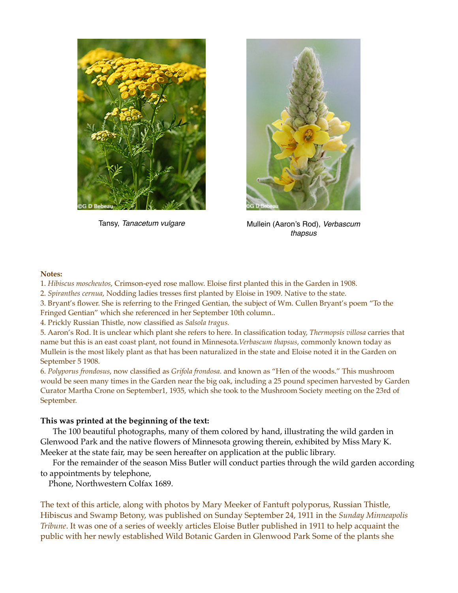



Tansy, *Tanacetum vulgare* Mullein (Aaron's Rod), *Verbascum thapsus*

## **Notes:**

- 1. *Hibiscus moscheutos*, Crimson-eyed rose mallow. Eloise first planted this in the Garden in 1908.
- 2. *Spiranthes cernua*, Nodding ladies tresses first planted by Eloise in 1909. Native to the state.

3. Bryant's flower. She is referring to the Fringed Gentian, the subject of Wm. Cullen Bryant's poem "To the Fringed Gentian" which she referenced in her September 10th column..

4. Prickly Russian Thistle, now classified as *Salsola tragus.*

5. Aaron's Rod. It is unclear which plant she refers to here. In classification today, *Thermopsis villosa* carries that name but this is an east coast plant, not found in Minnesota.*Verbascum thapsus*, commonly known today as Mullein is the most likely plant as that has been naturalized in the state and Eloise noted it in the Garden on September 5 1908.

6. *Polyporus frondosus*, now classified as *Grifola frondosa*. and known as "Hen of the woods." This mushroom would be seen many times in the Garden near the big oak, including a 25 pound specimen harvested by Garden Curator Martha Crone on September1, 1935, which she took to the Mushroom Society meeting on the 23rd of September.

## **This was printed at the beginning of the text:**

 The 100 beautiful photographs, many of them colored by hand, illustrating the wild garden in Glenwood Park and the native flowers of Minnesota growing therein, exhibited by Miss Mary K. Meeker at the state fair, may be seen hereafter on application at the public library.

 For the remainder of the season Miss Butler will conduct parties through the wild garden according to appointments by telephone,

Phone, Northwestern Colfax 1689.

The text of this article, along with photos by Mary Meeker of Fantuft polyporus, Russian Thistle, Hibiscus and Swamp Betony, was published on Sunday September 24, 1911 in the *Sunday Minneapolis Tribune*. It was one of a series of weekly articles Eloise Butler published in 1911 to help acquaint the public with her newly established Wild Botanic Garden in Glenwood Park Some of the plants she